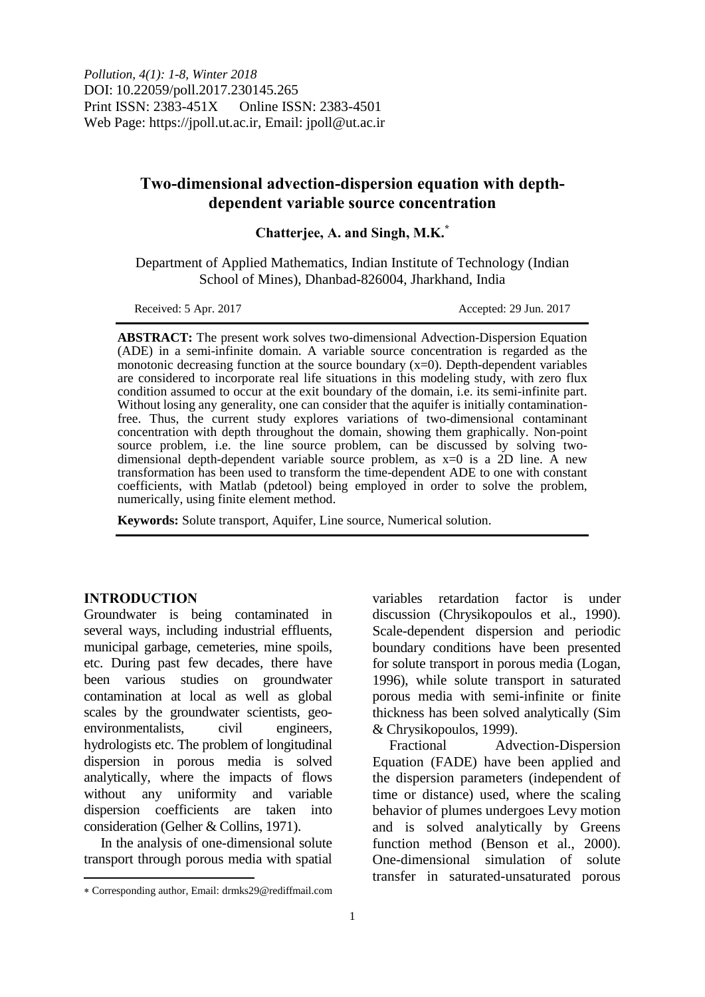# **Two-dimensional advection-dispersion equation with depthdependent variable source concentration**

**Chatterjee, A. and Singh, M.K.\***

Department of Applied Mathematics, Indian Institute of Technology (Indian School of Mines), Dhanbad-826004, Jharkhand, India

Received: 5 Apr. 2017 **Accepted: 29 Jun. 2017** 

**ABSTRACT:** The present work solves two-dimensional Advection-Dispersion Equation (ADE) in a semi-infinite domain. A variable source concentration is regarded as the monotonic decreasing function at the source boundary  $(x=0)$ . Depth-dependent variables are considered to incorporate real life situations in this modeling study, with zero flux condition assumed to occur at the exit boundary of the domain, i.e. its semi-infinite part. Without losing any generality, one can consider that the aquifer is initially contaminationfree. Thus, the current study explores variations of two-dimensional contaminant concentration with depth throughout the domain, showing them graphically. Non-point source problem, i.e. the line source problem, can be discussed by solving twodimensional depth-dependent variable source problem, as x=0 is a 2D line. A new transformation has been used to transform the time-dependent ADE to one with constant coefficients, with Matlab (pdetool) being employed in order to solve the problem, numerically, using finite element method.

**Keywords:** Solute transport, Aquifer, Line source, Numerical solution.

## **INTRODUCTION**

 $\overline{a}$ 

Groundwater is being contaminated in several ways, including industrial effluents, municipal garbage, cemeteries, mine spoils, etc. During past few decades, there have been various studies on groundwater contamination at local as well as global scales by the groundwater scientists, geoenvironmentalists, civil engineers, hydrologists etc. The problem of longitudinal dispersion in porous media is solved analytically, where the impacts of flows without any uniformity and variable dispersion coefficients are taken into consideration (Gelher & Collins, 1971).

In the analysis of one-dimensional solute transport through porous media with spatial

variables retardation factor is under discussion (Chrysikopoulos et al., 1990). Scale-dependent dispersion and periodic boundary conditions have been presented for solute transport in porous media (Logan, 1996), while solute transport in saturated porous media with semi-infinite or finite thickness has been solved analytically (Sim & Chrysikopoulos, 1999).

Fractional Advection-Dispersion Equation (FADE) have been applied and the dispersion parameters (independent of time or distance) used, where the scaling behavior of plumes undergoes Levy motion and is solved analytically by Greens function method (Benson et al., 2000). One-dimensional simulation of solute transfer in saturated-unsaturated porous

Corresponding author, Email: drmks29@rediffmail.com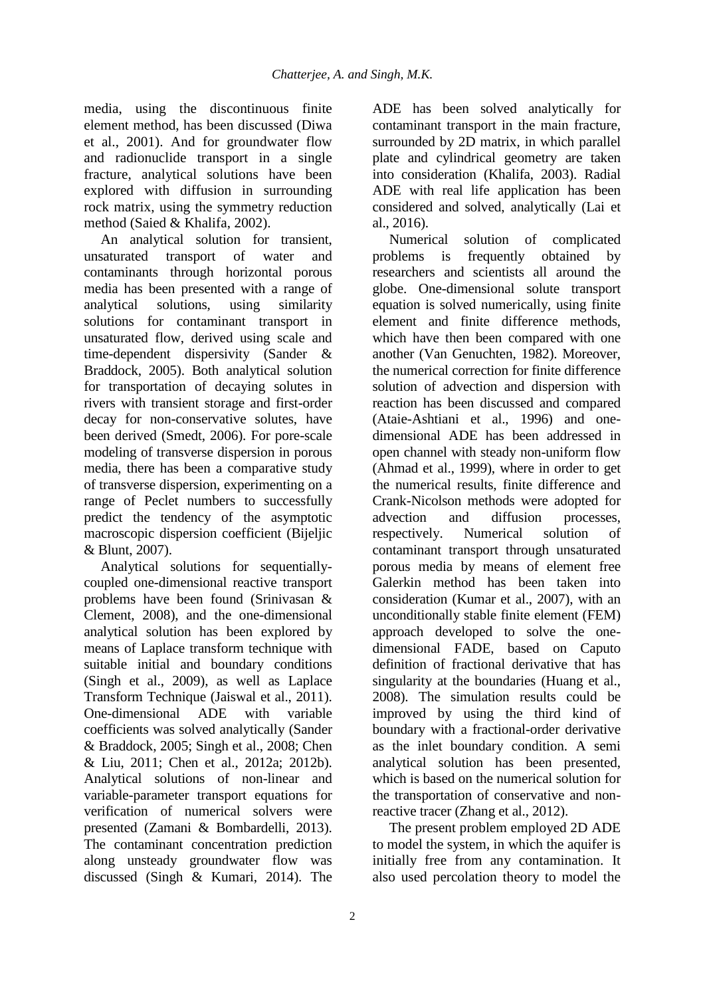media, using the discontinuous finite element method, has been discussed (Diwa et al., 2001). And for groundwater flow and radionuclide transport in a single fracture, analytical solutions have been explored with diffusion in surrounding rock matrix, using the symmetry reduction method (Saied & Khalifa, 2002).

An analytical solution for transient, unsaturated transport of water and contaminants through horizontal porous media has been presented with a range of analytical solutions, using similarity solutions for contaminant transport in unsaturated flow, derived using scale and time-dependent dispersivity (Sander & Braddock, 2005). Both analytical solution for transportation of decaying solutes in rivers with transient storage and first-order decay for non-conservative solutes, have been derived (Smedt, 2006). For pore-scale modeling of transverse dispersion in porous media, there has been a comparative study of transverse dispersion, experimenting on a range of Peclet numbers to successfully predict the tendency of the asymptotic macroscopic dispersion coefficient (Bijeljic & Blunt, 2007).

Analytical solutions for sequentiallycoupled one-dimensional reactive transport problems have been found (Srinivasan & Clement, 2008), and the one-dimensional analytical solution has been explored by means of Laplace transform technique with suitable initial and boundary conditions (Singh et al., 2009), as well as Laplace Transform Technique (Jaiswal et al., 2011). One-dimensional ADE with variable coefficients was solved analytically (Sander & Braddock, 2005; Singh et al., 2008; Chen & Liu, 2011; Chen et al., 2012a; 2012b). Analytical solutions of non-linear and variable-parameter transport equations for verification of numerical solvers were presented (Zamani & Bombardelli, 2013). The contaminant concentration prediction along unsteady groundwater flow was discussed (Singh & Kumari, 2014). The

ADE has been solved analytically for contaminant transport in the main fracture, surrounded by 2D matrix, in which parallel plate and cylindrical geometry are taken into consideration (Khalifa, 2003). Radial ADE with real life application has been considered and solved, analytically (Lai et al., 2016).

Numerical solution of complicated problems is frequently obtained by researchers and scientists all around the globe. One-dimensional solute transport equation is solved numerically, using finite element and finite difference methods, which have then been compared with one another (Van Genuchten, 1982). Moreover, the numerical correction for finite difference solution of advection and dispersion with reaction has been discussed and compared (Ataie-Ashtiani et al., 1996) and onedimensional ADE has been addressed in open channel with steady non-uniform flow (Ahmad et al., 1999), where in order to get the numerical results, finite difference and Crank-Nicolson methods were adopted for advection and diffusion processes, respectively. Numerical solution of contaminant transport through unsaturated porous media by means of element free Galerkin method has been taken into consideration (Kumar et al., 2007), with an unconditionally stable finite element (FEM) approach developed to solve the onedimensional FADE, based on Caputo definition of fractional derivative that has singularity at the boundaries (Huang et al., 2008). The simulation results could be improved by using the third kind of boundary with a fractional-order derivative as the inlet boundary condition. A semi analytical solution has been presented, which is based on the numerical solution for the transportation of conservative and nonreactive tracer (Zhang et al., 2012).

The present problem employed 2D ADE to model the system, in which the aquifer is initially free from any contamination. It also used percolation theory to model the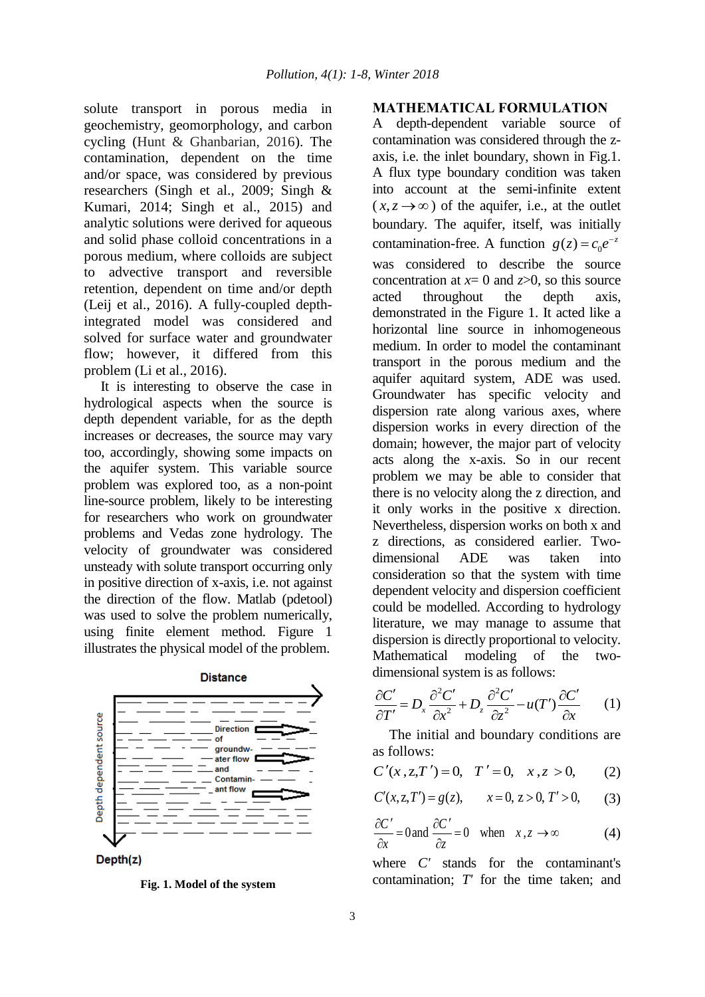solute transport in porous media in geochemistry, geomorphology, and carbon cycling (Hunt & Ghanbarian, 2016). The contamination, dependent on the time and/or space, was considered by previous researchers (Singh et al., 2009; Singh & Kumari, 2014; Singh et al., 2015) and analytic solutions were derived for aqueous and solid phase colloid concentrations in a porous medium, where colloids are subject to advective transport and reversible retention, dependent on time and/or depth (Leij et al., 2016). A fully-coupled depthintegrated model was considered and solved for surface water and groundwater flow; however, it differed from this problem (Li et al., 2016).

It is interesting to observe the case in hydrological aspects when the source is depth dependent variable, for as the depth increases or decreases, the source may vary too, accordingly, showing some impacts on the aquifer system. This variable source problem was explored too, as a non-point line-source problem, likely to be interesting for researchers who work on groundwater problems and Vedas zone hydrology. The velocity of groundwater was considered unsteady with solute transport occurring only in positive direction of x-axis, i.e. not against the direction of the flow. Matlab (pdetool) was used to solve the problem numerically, using finite element method. Figure 1 illustrates the physical model of the problem.



**Fig. 1. Model of the system**

### **MATHEMATICAL FORMULATION**

A depth-dependent variable source of contamination was considered through the zaxis, i.e. the inlet boundary, shown in Fig.1. A flux type boundary condition was taken into account at the semi-infinite extent  $(x, z \rightarrow \infty)$  of the aquifer, i.e., at the outlet boundary. The aquifer, itself, was initially contamination-free. A function  $g(z) = c_0 e^{-z}$ was considered to describe the source concentration at  $x=0$  and  $z>0$ , so this source acted throughout the depth axis, demonstrated in the Figure 1. It acted like a horizontal line source in inhomogeneous medium. In order to model the contaminant transport in the porous medium and the aquifer aquitard system, ADE was used. Groundwater has specific velocity and dispersion rate along various axes, where dispersion works in every direction of the domain; however, the major part of velocity acts along the x-axis. So in our recent problem we may be able to consider that there is no velocity along the z direction, and it only works in the positive x direction. Nevertheless, dispersion works on both x and z directions, as considered earlier. Twodimensional ADE was taken into consideration so that the system with time dependent velocity and dispersion coefficient could be modelled. According to hydrology literature, we may manage to assume that dispersion is directly proportional to velocity. Mathematical modeling of the two-

dimensional system is as follows:  
\n
$$
\frac{\partial C'}{\partial T'} = D_x \frac{\partial^2 C'}{\partial x^2} + D_z \frac{\partial^2 C'}{\partial z^2} - u(T') \frac{\partial C'}{\partial x}
$$
\n(1)

The initial and boundary conditions are as follows:

as follows:  

$$
C'(x, z, T') = 0
$$
,  $T' = 0$ ,  $x, z > 0$ , (2)

$$
C(x, z, I) = 0, I = 0, x, z > 0,
$$
  
\n
$$
C'(x, z, T') = g(z), x = 0, z > 0, T' > 0,
$$
  
\n(3)

$$
\frac{\partial C'}{\partial x} = 0 \text{ and } \frac{\partial C'}{\partial z} = 0 \quad \text{when} \quad x, z \to \infty \tag{4}
$$

where *C'* stands for the contaminant's contamination; *T'* for the time taken; and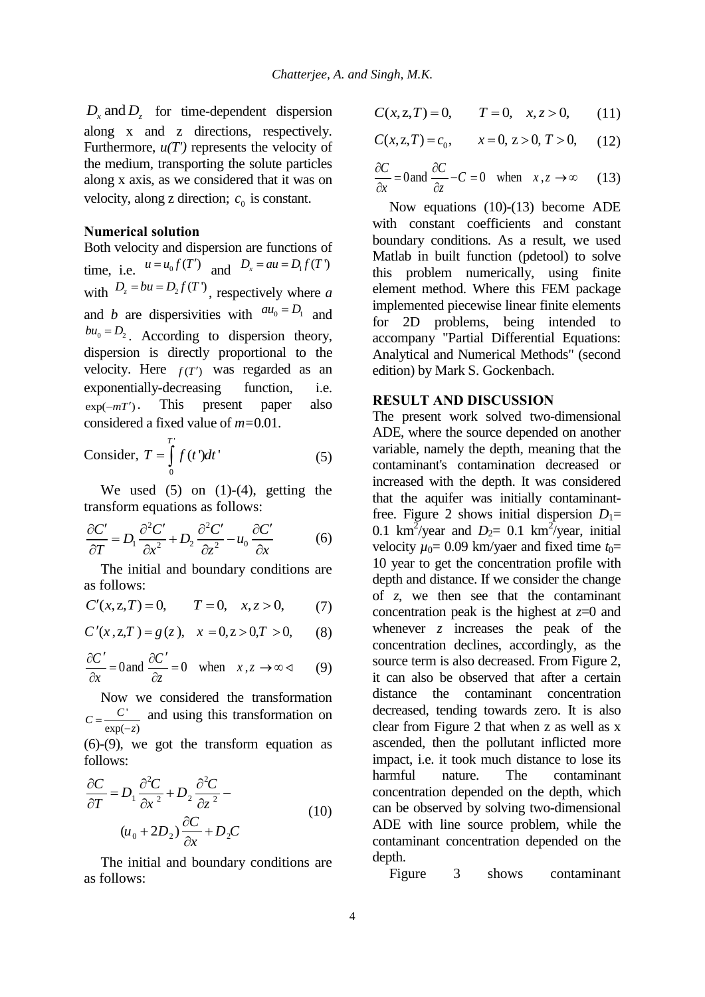$D_x$  and  $D_z$  for time-dependent dispersion along x and z directions, respectively. Furthermore,  $u(T')$  represents the velocity of the medium, transporting the solute particles along x axis, as we considered that it was on velocity, along z direction;  $c_0$  is constant.

### **Numerical solution**

Both velocity and dispersion are functions of time, i.e.  $u = u_0 f(T')$  and  $D_x = au = D_1 f(T')$ with  $D_z = bu = D_2 f(T)$ , respectively where *a* and *b* are dispersivities with  $au_0 = D_1$  and  $b u_0 = D_2$ . According to dispersion theory, dispersion is directly proportional to the velocity. Here  $f(T')$  was regarded as an exponentially-decreasing function, i.e.  $\exp(-mT')$ . This present paper also considered a fixed value of *m=*0.01.

Consider, 
$$
T = \int_{0}^{T} f(t^*)dt'
$$
 (5)

We used  $(5)$  on  $(1)-(4)$ , getting the

transform equations as follows:  
\n
$$
\frac{\partial C'}{\partial T} = D_1 \frac{\partial^2 C'}{\partial x^2} + D_2 \frac{\partial^2 C'}{\partial z^2} - u_0 \frac{\partial C'}{\partial x}
$$
\n(6)

The initial and boundary conditions are as follows:

as follows:  
\n
$$
C'(x, z, T) = 0
$$
,  $T = 0$ ,  $x, z > 0$ , (7)

$$
C'(x, z, T) = 0, \quad T = 0, \quad x, z > 0,
$$
  

$$
C'(x, z, T) = g(z), \quad x = 0, z > 0, T > 0,
$$
 (8)

$$
\frac{\partial C'}{\partial x} = 0 \text{ and } \frac{\partial C'}{\partial z} = 0 \quad \text{when} \quad x, z \to \infty \quad (8)
$$

Now we considered the transformation  $rac{C'}{\exp(-z)}$  $C = \frac{C'}{\exp(-z)}$ and using this transformation on

(6)-(9), we got the transform equation as follows:

$$
\frac{\partial C}{\partial T} = D_1 \frac{\partial^2 C}{\partial x^2} + D_2 \frac{\partial^2 C}{\partial z^2} -
$$
  

$$
(u_0 + 2D_2) \frac{\partial C}{\partial x} + D_2 C
$$
 (10)

The initial and boundary conditions are as follows:

$$
C(x, z, T) = 0, \t T = 0, \t x, z > 0,
$$
 (11)

$$
C(x, z, T) = c_0, \qquad x = 0, z > 0, T > 0,
$$
 (12)

$$
\frac{\partial C}{\partial x} = 0 \text{ and } \frac{\partial C}{\partial z} - C = 0 \quad \text{when} \quad x, z \to \infty \quad (13)
$$

Now equations (10)-(13) become ADE with constant coefficients and constant boundary conditions. As a result, we used Matlab in built function (pdetool) to solve this problem numerically, using finite element method. Where this FEM package implemented piecewise linear finite elements for 2D problems, being intended to accompany "Partial Differential Equations: Analytical and Numerical Methods" (second edition) by Mark S. Gockenbach.

### **RESULT AND DISCUSSION**

The present work solved two-dimensional ADE, where the source depended on another variable, namely the depth, meaning that the contaminant's contamination decreased or increased with the depth. It was considered that the aquifer was initially contaminantfree. Figure 2 shows initial dispersion  $D_1=$ 0.1 km<sup>2</sup>/year and  $D_2$ = 0.1 km<sup>2</sup>/year, initial velocity  $\mu_0$ = 0.09 km/yaer and fixed time  $t_0$ = 10 year to get the concentration profile with depth and distance. If we consider the change of *z*, we then see that the contaminant concentration peak is the highest at *z*=0 and whenever *z* increases the peak of the concentration declines, accordingly, as the source term is also decreased. From Figure 2, it can also be observed that after a certain distance the contaminant concentration decreased, tending towards zero. It is also clear from Figure 2 that when z as well as x ascended, then the pollutant inflicted more impact, i.e. it took much distance to lose its harmful nature. The contaminant concentration depended on the depth, which can be observed by solving two-dimensional ADE with line source problem, while the contaminant concentration depended on the depth.

Figure 3 shows contaminant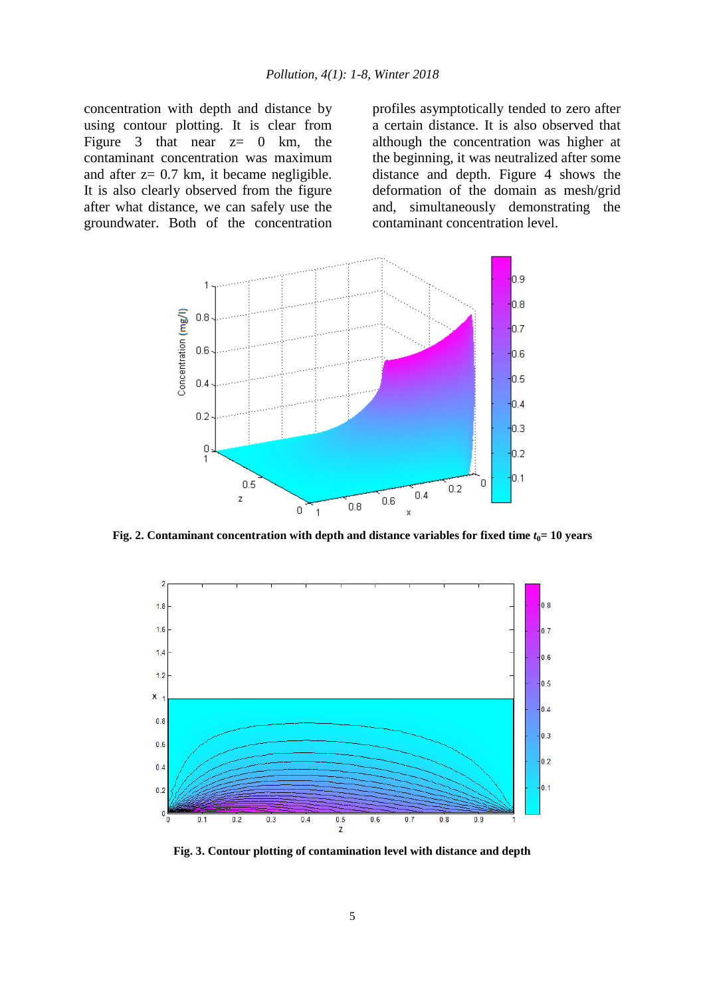concentration with depth and distance by using contour plotting. It is clear from Figure 3 that near  $z= 0$  km, the contaminant concentration was maximum and after z= 0.7 km, it became negligible. It is also clearly observed from the figure after what distance, we can safely use the groundwater. Both of the concentration profiles asymptotically tended to zero after a certain distance. It is also observed that although the concentration was higher at the beginning, it was neutralized after some distance and depth. Figure 4 shows the deformation of the domain as mesh/grid and, simultaneously demonstrating the contaminant concentration level.



**Fig. 2. Contaminant concentration with depth and distance variables for fixed time** *t***0= 10 years**



**Fig. 3. Contour plotting of contamination level with distance and depth**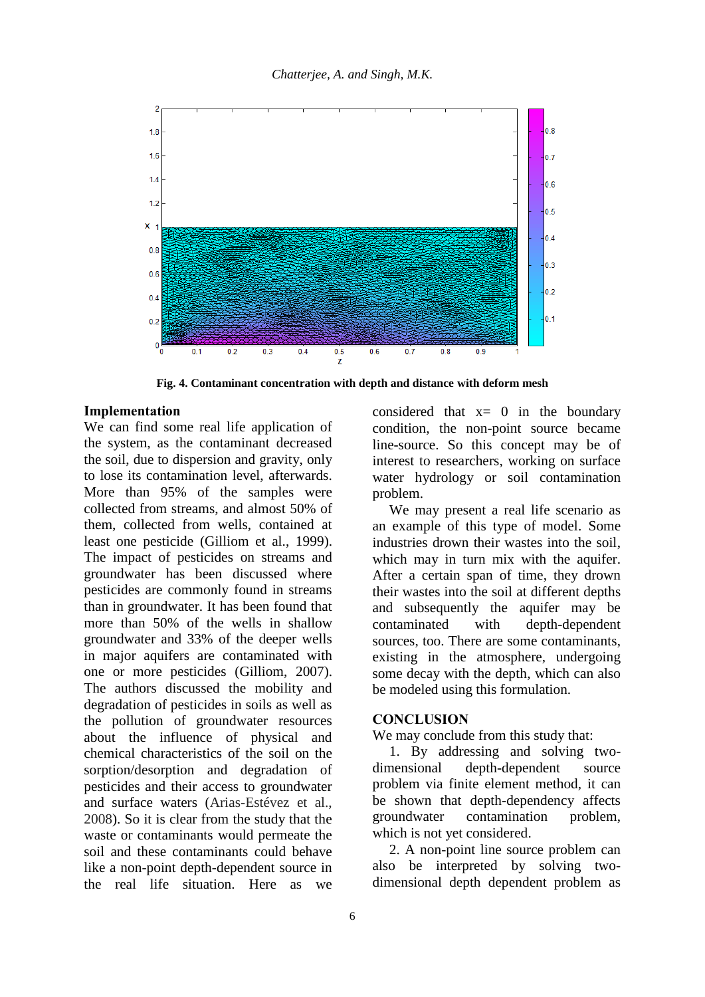

**Fig. 4. Contaminant concentration with depth and distance with deform mesh**

#### **Implementation**

We can find some real life application of the system, as the contaminant decreased the soil, due to dispersion and gravity, only to lose its contamination level, afterwards. More than 95% of the samples were collected from streams, and almost 50% of them, collected from wells, contained at least one pesticide (Gilliom et al., 1999). The impact of pesticides on streams and groundwater has been discussed where pesticides are commonly found in streams than in groundwater. It has been found that more than 50% of the wells in shallow groundwater and 33% of the deeper wells in major aquifers are contaminated with one or more pesticides (Gilliom, 2007). The authors discussed the mobility and degradation of pesticides in soils as well as the pollution of groundwater resources about the influence of physical and chemical characteristics of the soil on the sorption/desorption and degradation of pesticides and their access to groundwater and surface waters (Arias-Estévez et al., 2008). So it is clear from the study that the waste or contaminants would permeate the soil and these contaminants could behave like a non-point depth-dependent source in the real life situation. Here as we

considered that  $x= 0$  in the boundary condition, the non-point source became line-source. So this concept may be of interest to researchers, working on surface water hydrology or soil contamination problem.

We may present a real life scenario as an example of this type of model. Some industries drown their wastes into the soil, which may in turn mix with the aquifer. After a certain span of time, they drown their wastes into the soil at different depths and subsequently the aquifer may be contaminated with depth-dependent sources, too. There are some contaminants, existing in the atmosphere, undergoing some decay with the depth, which can also be modeled using this formulation.

### **CONCLUSION**

We may conclude from this study that:

1. By addressing and solving twodimensional depth-dependent source problem via finite element method, it can be shown that depth-dependency affects groundwater contamination problem, which is not yet considered.

2. A non-point line source problem can also be interpreted by solving twodimensional depth dependent problem as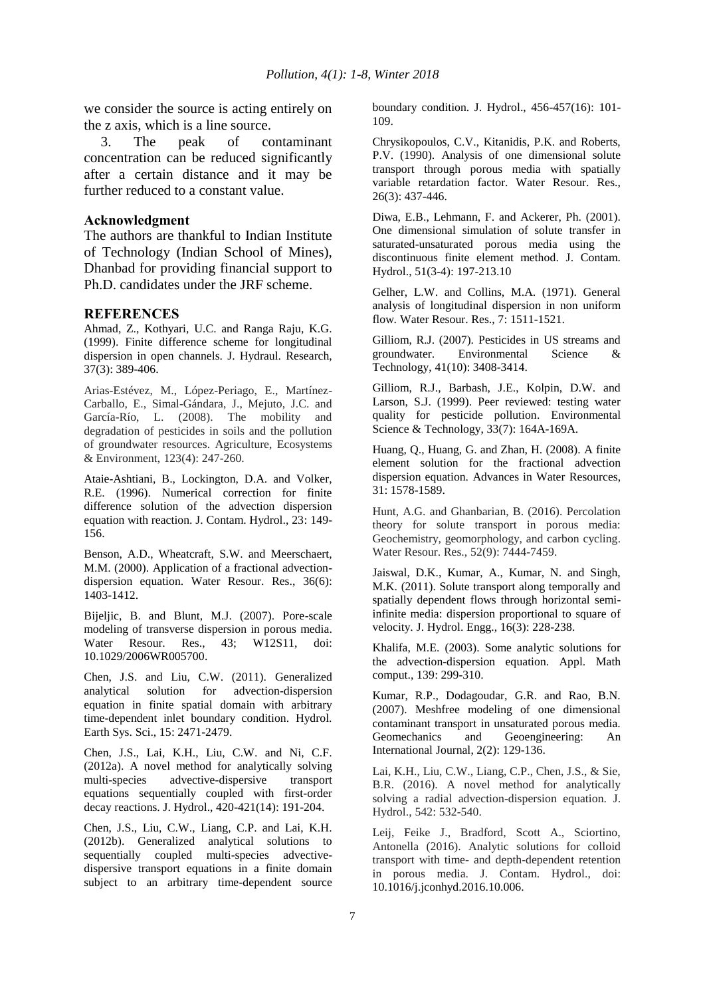we consider the source is acting entirely on the z axis, which is a line source.

3. The peak of contaminant concentration can be reduced significantly after a certain distance and it may be further reduced to a constant value.

#### **Acknowledgment**

The authors are thankful to Indian Institute of Technology (Indian School of Mines), Dhanbad for providing financial support to Ph.D. candidates under the JRF scheme.

#### **REFERENCES**

Ahmad, Z., Kothyari, U.C. and Ranga Raju, K.G. (1999). Finite difference scheme for longitudinal dispersion in open channels. J. Hydraul. Research, 37(3): 389-406.

Arias-Estévez, M., López-Periago, E., Martínez-Carballo, E., Simal-Gándara, J., Mejuto, J.C. and García-Río, L. (2008). The mobility and degradation of pesticides in soils and the pollution of groundwater resources. Agriculture, Ecosystems & Environment, 123(4): 247-260.

Ataie-Ashtiani, B., Lockington, D.A. and Volker, R.E. (1996). Numerical correction for finite difference solution of the advection dispersion equation with reaction. J. Contam. Hydrol., 23: 149- 156.

Benson, A.D., Wheatcraft, S.W. and Meerschaert, M.M. (2000). Application of a fractional advectiondispersion equation. Water Resour. Res., 36(6): 1403-1412.

Bijeljic, B. and Blunt, M.J. (2007). Pore-scale modeling of transverse dispersion in porous media. Water Resour. Res., 43; W12S11, doi: 10.1029/2006WR005700.

Chen, J.S. and Liu, C.W. (2011). Generalized analytical solution for advection-dispersion equation in finite spatial domain with arbitrary time-dependent inlet boundary condition. Hydrol. Earth Sys. Sci., 15: 2471-2479.

Chen, J.S., Lai, K.H., Liu, C.W. and Ni, C.F. (2012a). A novel method for analytically solving multi-species advective-dispersive transport equations sequentially coupled with first-order decay reactions. J. Hydrol., 420-421(14): 191-204.

Chen, J.S., Liu, C.W., Liang, C.P. and Lai, K.H. (2012b). Generalized analytical solutions to sequentially coupled multi-species advectivedispersive transport equations in a finite domain subject to an arbitrary time-dependent source boundary condition. J. Hydrol., 456-457(16): 101- 109.

Chrysikopoulos, C.V., Kitanidis, P.K. and Roberts, P.V. (1990). Analysis of one dimensional solute transport through porous media with spatially variable retardation factor. Water Resour. Res., 26(3): 437-446.

Diwa, E.B., Lehmann, F. and Ackerer, Ph. (2001). One dimensional simulation of solute transfer in saturated-unsaturated porous media using the discontinuous finite element method. J. Contam. Hydrol., 51(3-4): 197-213.10

Gelher, L.W. and Collins, M.A. (1971). General analysis of longitudinal dispersion in non uniform flow. Water Resour. Res., 7: 1511-1521.

Gilliom, R.J. (2007). Pesticides in US streams and groundwater. Environmental Science & Technology, 41(10): 3408-3414.

Gilliom, R.J., Barbash, J.E., Kolpin, D.W. and Larson, S.J. (1999). Peer reviewed: testing water quality for pesticide pollution. Environmental Science & Technology, 33(7): 164A-169A.

Huang, Q., Huang, G. and Zhan, H. (2008). A finite element solution for the fractional advection dispersion equation. Advances in Water Resources, 31: 1578-1589.

Hunt, A.G. and Ghanbarian, B. (2016). Percolation theory for solute transport in porous media: Geochemistry, geomorphology, and carbon cycling. Water Resour. Res., 52(9): 7444-7459.

Jaiswal, D.K., Kumar, A., Kumar, N. and Singh, M.K. (2011). Solute transport along temporally and spatially dependent flows through horizontal semiinfinite media: dispersion proportional to square of velocity. J. Hydrol. Engg., 16(3): 228-238.

Khalifa, M.E. (2003). Some analytic solutions for the advection-dispersion equation. Appl. Math comput., 139: 299-310.

Kumar, R.P., Dodagoudar, G.R. and Rao, B.N. (2007). Meshfree modeling of one dimensional contaminant transport in unsaturated porous media. Geomechanics and Geoengineering: An International Journal, 2(2): 129-136.

Lai, K.H., Liu, C.W., Liang, C.P., Chen, J.S., & Sie, B.R. (2016). A novel method for analytically solving a radial advection-dispersion equation. J. Hydrol., 542: 532-540.

Leij, Feike J., Bradford, Scott A., Sciortino, Antonella (2016). Analytic solutions for colloid transport with time- and depth-dependent retention in porous media. J. Contam. Hydrol., doi: 10.1016/j.jconhyd.2016.10.006.